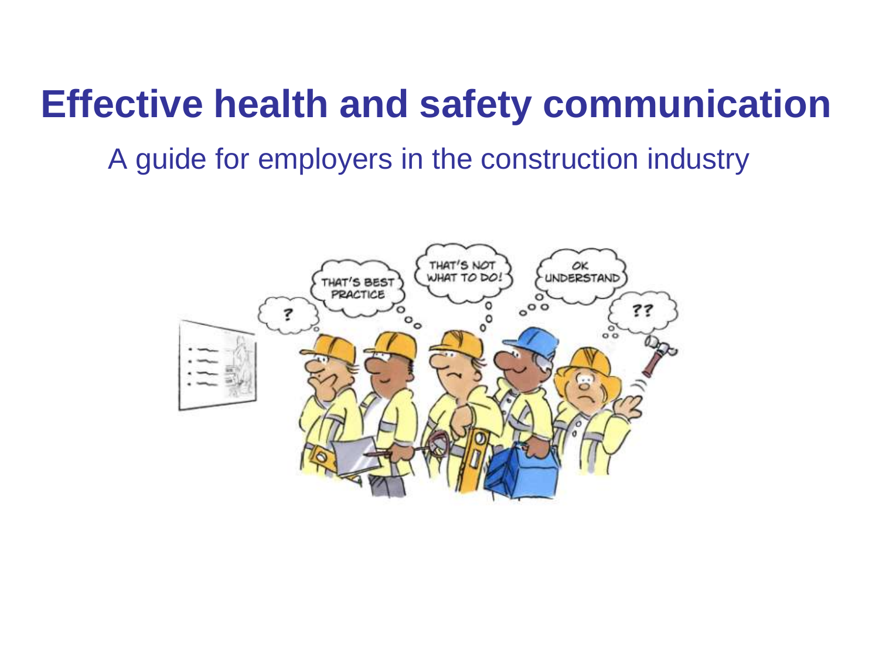## **Effective health and safety communication**

A guide for employers in the construction industry

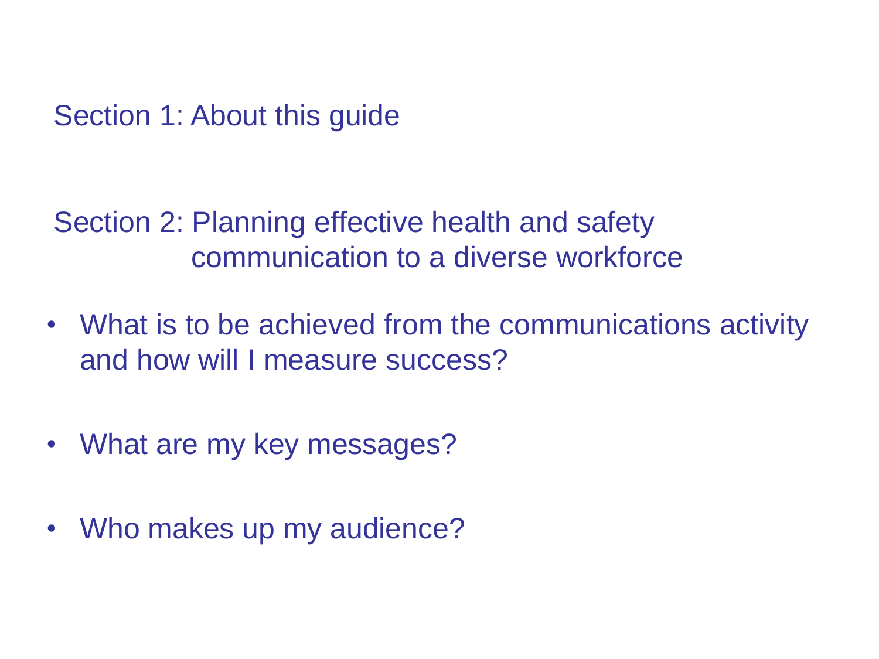Section 1: About this guide

Section 2: Planning effective health and safety communication to a diverse workforce

- What is to be achieved from the communications activity and how will I measure success?
- What are my key messages?
- Who makes up my audience?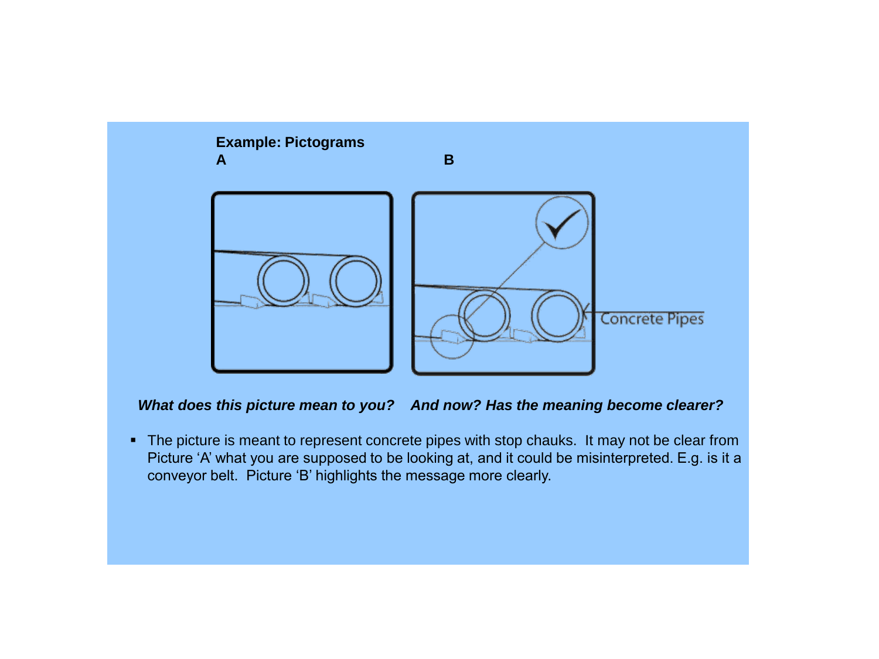

*What does this picture mean to you? And now? Has the meaning become clearer?*

• The picture is meant to represent concrete pipes with stop chauks. It may not be clear from Picture 'A' what you are supposed to be looking at, and it could be misinterpreted. E.g. is it a conveyor belt. Picture 'B' highlights the message more clearly.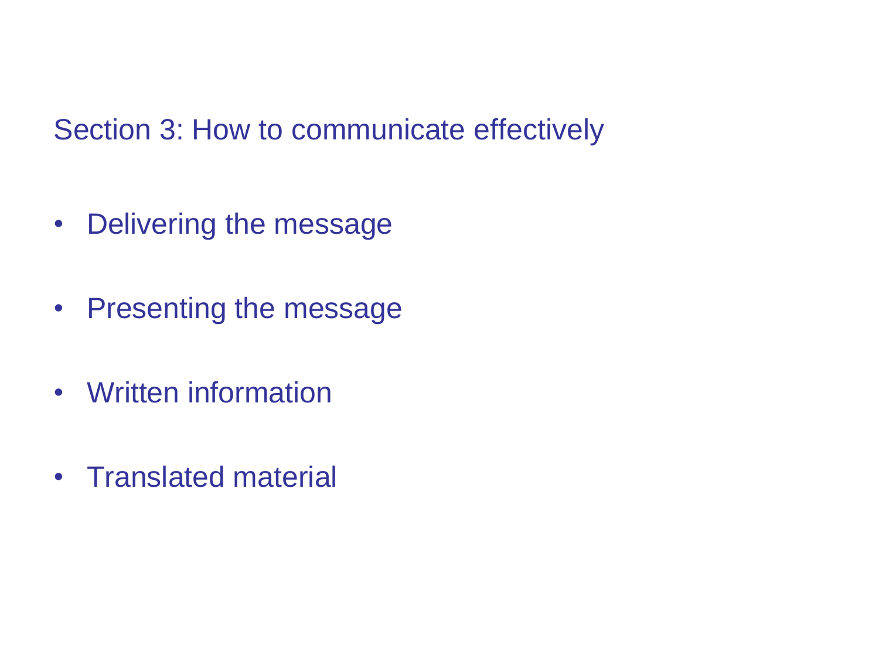Section 3: How to communicate effectively

- Delivering the message
- Presenting the message
- Written information
- Translated material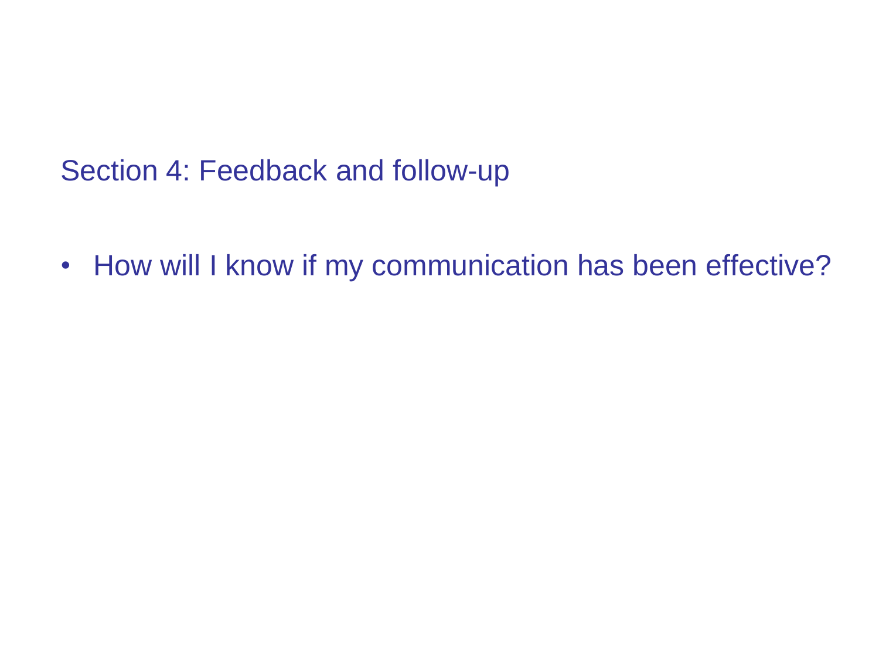Section 4: Feedback and follow-up

• How will I know if my communication has been effective?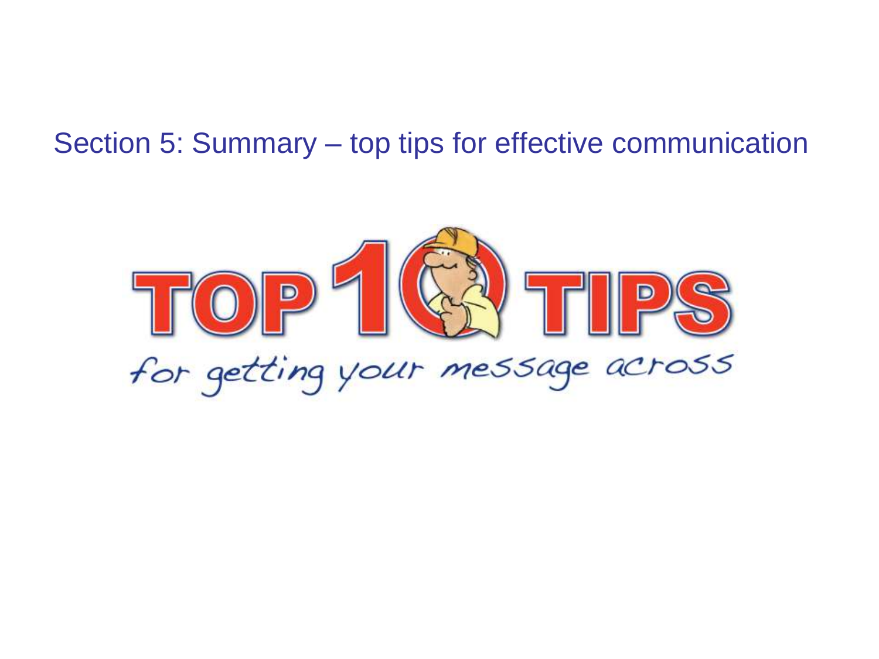## Section 5: Summary – top tips for effective communication